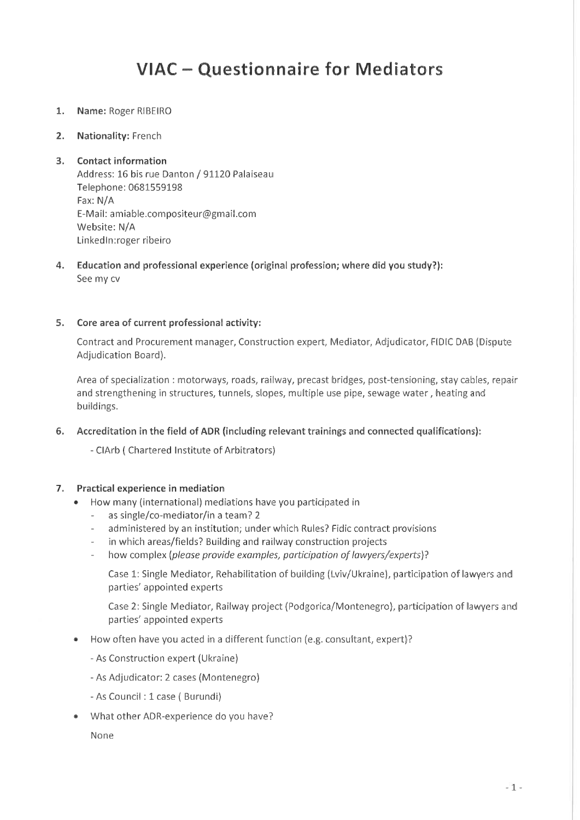# VIAC - Questionnaire for Mediators

- Name: Roger RIBEIRO  $1.$
- $2.$ Nationality: French

#### **Contact information**  $3.$

Address: 16 bis rue Danton / 91120 Palaiseau Telephone: 0681559198 Fax: N/A E-Mail: amiable.compositeur@gmail.com Website: N/A LinkedIn:roger ribeiro

Education and professional experience (original profession; where did you study?): 4. See my cv

### 5. Core area of current professional activity:

Contract and Procurement manager, Construction expert, Mediator, Adjudicator, FIDIC DAB (Dispute Adjudication Board).

Area of specialization : motorways, roads, railway, precast bridges, post-tensioning, stay cables, repair and strengthening in structures, tunnels, slopes, multiple use pipe, sewage water, heating and buildings.

6. Accreditation in the field of ADR (including relevant trainings and connected qualifications):

- CIArb (Chartered Institute of Arbitrators)

#### 7. **Practical experience in mediation**

- How many (international) mediations have you participated in
	- as single/co-mediator/in a team? 2
	- administered by an institution; under which Rules? Fidic contract provisions  $\mathcal{L}$
	- in which areas/fields? Building and railway construction projects  $\omega$
	- how complex (please provide examples, participation of lawyers/experts)?

Case 1: Single Mediator, Rehabilitation of building (Lviv/Ukraine), participation of lawyers and parties' appointed experts

Case 2: Single Mediator, Railway project (Podgorica/Montenegro), participation of lawyers and parties' appointed experts

- How often have you acted in a different function (e.g. consultant, expert)?  $\bullet$ 
	- As Construction expert (Ukraine)
	- As Adjudicator: 2 cases (Montenegro)
	- As Council : 1 case ( Burundi)
- What other ADR-experience do you have?  $\qquad \qquad \circ$

None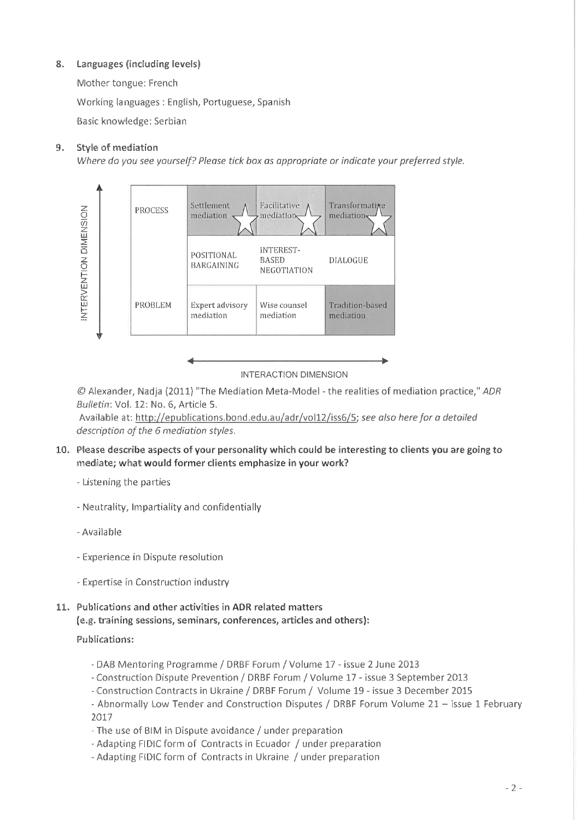#### Languages (including levels) 8.

Mother tongue: French

Working languages: English, Portuguese, Spanish

Basic knowledge: Serbian

#### $9<sub>1</sub>$ Style of mediation

Where do you see yourself? Please tick box as appropriate or indicate your preferred style.



**INTERACTION DIMENSION** 

© Alexander, Nadia (2011) "The Mediation Meta-Model - the realities of mediation practice," ADR Bulletin: Vol. 12: No. 6, Article 5.

Available at: http://epublications.bond.edu.au/adr/vol12/iss6/5; see also here for a detailed description of the 6 mediation styles.

- 10. Please describe aspects of your personality which could be interesting to clients you are going to mediate; what would former clients emphasize in your work?
	- Listening the parties
	- Neutrality, Impartiality and confidentially
	- Available
	- Experience in Dispute resolution
	- Expertise in Construction industry
- 11. Publications and other activities in ADR related matters (e.g. training sessions, seminars, conferences, articles and others):

# **Publications:**

- DAB Mentoring Programme / DRBF Forum / Volume 17 issue 2 June 2013
- Construction Dispute Prevention / DRBF Forum / Volume 17 issue 3 September 2013
- Construction Contracts in Ukraine / DRBF Forum / Volume 19 issue 3 December 2015
- Abnormally Low Tender and Construction Disputes / DRBF Forum Volume 21 issue 1 February 2017
- The use of BIM in Dispute avoidance / under preparation
- Adapting FIDIC form of Contracts in Ecuador / under preparation
- Adapting FIDIC form of Contracts in Ukraine / under preparation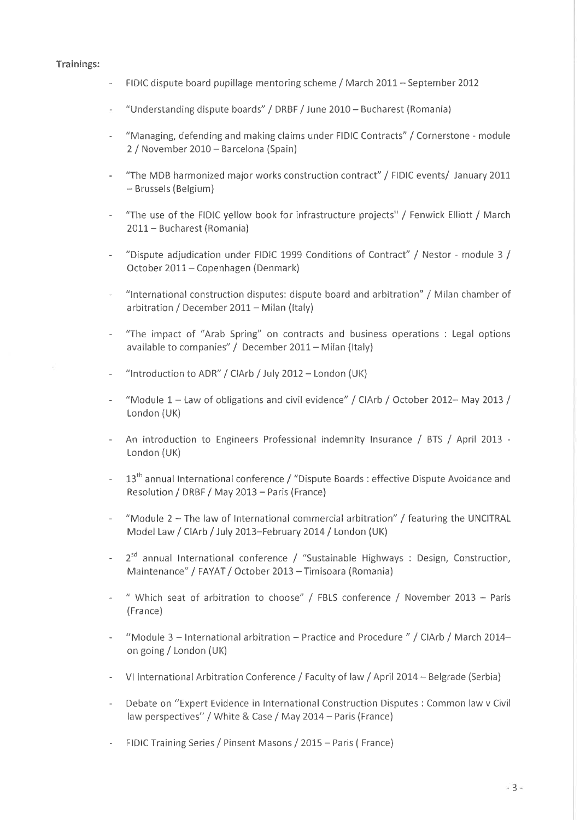### Trainings:

- FIDIC dispute board pupillage mentoring scheme / March 2011 September 2012
- "Understanding dispute boards" / DRBF / June 2010 Bucharest (Romania)
- "Managing, defending and making claims under FIDIC Contracts" / Cornerstone module 2 / November 2010 - Barcelona (Spain)
- "The MDB harmonized major works construction contract" / FIDIC events/ January 2011 - Brussels (Belgium)
- "The use of the FIDIC yellow book for infrastructure projects" / Fenwick Elliott / March 2011 - Bucharest (Romania)
- "Dispute adjudication under FIDIC 1999 Conditions of Contract" / Nestor module 3 / October 2011 - Copenhagen (Denmark)
- "International construction disputes: dispute board and arbitration" / Milan chamber of arbitration / December 2011 - Milan (Italy)
- "The impact of "Arab Spring" on contracts and business operations : Legal options available to companies" / December 2011 - Milan (Italy)
- "Introduction to ADR" / CiArb / July 2012 London (UK)
- "Module 1 Law of obligations and civil evidence" / CIArb / October 2012- May 2013 /  $\omega$  . London (UK)
- An introduction to Engineers Professional indemnity Insurance / BTS / April 2013 -London (UK)
- 13<sup>th</sup> annual International conference / "Dispute Boards : effective Dispute Avoidance and Resolution / DRBF / May 2013 - Paris (France)
- "Module  $2$  The law of International commercial arbitration" / featuring the UNCITRAL Model Law / ClArb / July 2013-February 2014 / London (UK)
- $2^{sd}$  annual International conference / "Sustainable Highways : Design, Construction, Maintenance" / FAYAT / October 2013 - Timisoara (Romania)
- " Which seat of arbitration to choose" / FBLS conference / November 2013 Paris (France)
- "Module 3 International arbitration Practice and Procedure" / ClArb / March 2014on going / London (UK)
- VI International Arbitration Conference / Faculty of law / April 2014 Belgrade (Serbia)
- Debate on "Expert Evidence in International Construction Disputes : Common law v Civil law perspectives" / White & Case / May 2014 – Paris (France)
- FIDIC Training Series / Pinsent Masons / 2015 Paris (France)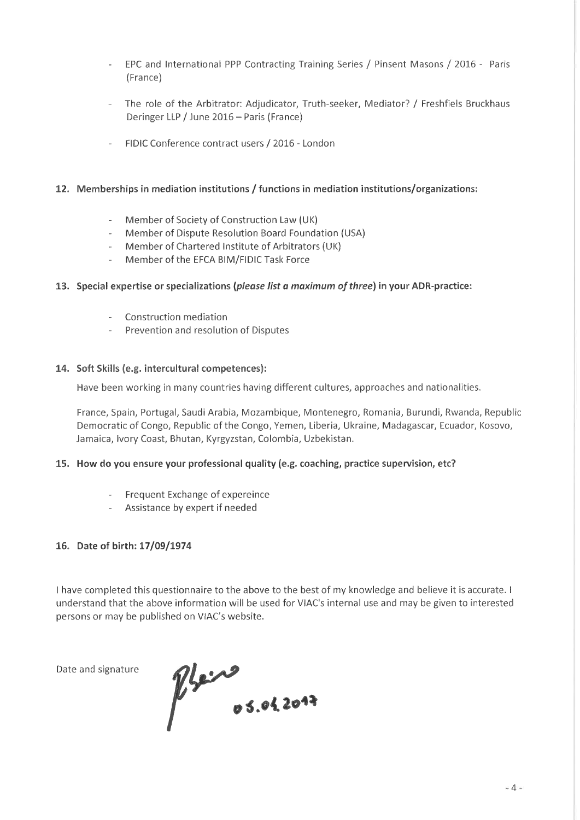- EPC and International PPP Contracting Training Series / Pinsent Masons / 2016 Paris (France)
- The role of the Arbitrator: Adjudicator, Truth-seeker, Mediator? / Freshfiels Bruckhaus Deringer LLP / June 2016 - Paris (France)
- FIDIC Conference contract users / 2016 London

### 12. Memberships in mediation institutions / functions in mediation institutions/organizations;

- Member of Society of Construction Law (UK)
- Member of Dispute Resolution Board Foundation (USA)
- Member of Chartered Institute of Arbitrators (UK)
- Member of the EFCA BIM/FIDIC Task Force  $\omega$  .

# 13. Special expertise or specializations (please list a maximum of three) in your ADR-practice:

- Construction mediation
- Prevention and resolution of Disputes

# 14. Soft Skills (e.g. intercultural competences):

Have been working in many countries having different cultures, approaches and nationalities.

France, Spain, Portugal, Saudi Arabia, Mozambique, Montenegro, Romania, Burundi, Rwanda, Republic Democratic of Congo, Republic of the Congo, Yemen, Liberia, Ukraine, Madagascar, Ecuador, Kosovo, Jamaica, Ivory Coast, Bhutan, Kyrgyzstan, Colombia, Uzbekistan.

# 15. How do you ensure your professional quality (e.g. coaching, practice supervision, etc?

- Frequent Exchange of expereince
- Assistance by expert if needed

### 16. Date of birth: 17/09/1974

I have completed this questionnaire to the above to the best of my knowledge and believe it is accurate. I understand that the above information will be used for VIAC's internal use and may be given to interested persons or may be published on VIAC's website.

Date and signature

 $\n *Q* <sup>6</sup> <sup>6</sup> <sup>6</sup> <sup>6</sup> <sup>6</sup> <sup>6</sup> <sup>6</sup> <sup>6</sup> <sup>6</sup> <sup>6</sup> <sup>6</sup> <sup>6</sup> <sup>6</sup> <sup>6</sup> <sup>6</sup> <sup>6</sup> <sup>6</sup> <sup>6</sup> <sup>6</sup> <sup>6</sup> <sup>6</sup> <sup>6</sup> <sup>6</sup> <sup>6</sup> <sup>6</sup> <sup>6</sup> <sup>6</sup> <sup>6</sup> <sup>6</sup> <sup>6</sup> <$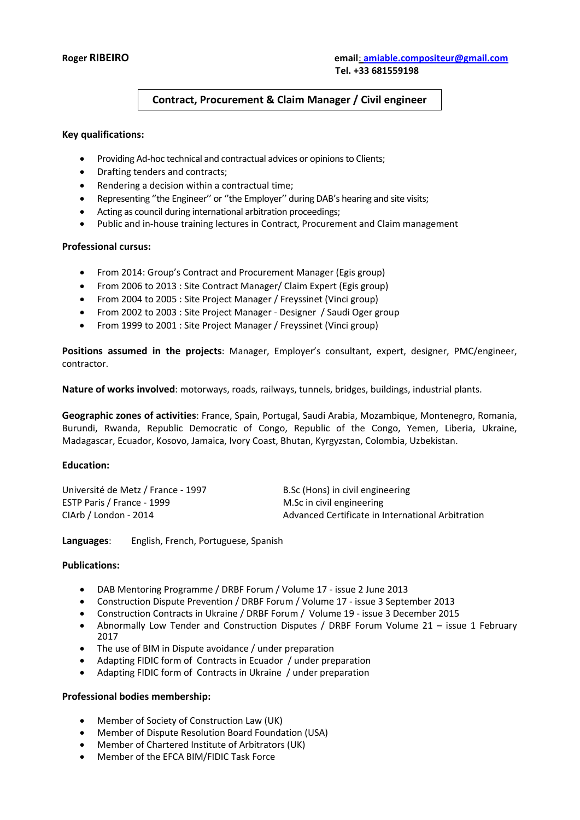# **Contract, Procurement & Claim Manager / Civil engineer**

#### **Key qualifications:**

- Providing Ad-hoc technical and contractual advices or opinions to Clients;
- Drafting tenders and contracts;
- Rendering a decision within a contractual time;
- Representing ''the Engineer'' or ''the Employer'' during DAB's hearing and site visits;
- Acting as council during international arbitration proceedings;
- Public and in-house training lectures in Contract, Procurement and Claim management

#### **Professional cursus:**

- From 2014: Group's Contract and Procurement Manager (Egis group)
- From 2006 to 2013 : Site Contract Manager/ Claim Expert (Egis group)
- From 2004 to 2005 : Site Project Manager / Freyssinet (Vinci group)
- From 2002 to 2003 : Site Project Manager Designer / Saudi Oger group
- From 1999 to 2001 : Site Project Manager / Freyssinet (Vinci group)

**Positions assumed in the projects**: Manager, Employer's consultant, expert, designer, PMC/engineer, contractor.

**Nature of works involved**: motorways, roads, railways, tunnels, bridges, buildings, industrial plants.

**Geographic zones of activities**: France, Spain, Portugal, Saudi Arabia, Mozambique, Montenegro, Romania, Burundi, Rwanda, Republic Democratic of Congo, Republic of the Congo, Yemen, Liberia, Ukraine, Madagascar, Ecuador, Kosovo, Jamaica, Ivory Coast, Bhutan, Kyrgyzstan, Colombia, Uzbekistan.

#### **Education:**

| Université de Metz / France - 1997 | B.Sc (Hons) in civil engineering                  |
|------------------------------------|---------------------------------------------------|
| ESTP Paris / France - 1999         | M.Sc in civil engineering                         |
| ClArb / London - 2014              | Advanced Certificate in International Arbitration |

**Languages**: English, French, Portuguese, Spanish

#### **Publications:**

- DAB Mentoring Programme / DRBF Forum / Volume 17 issue 2 June 2013
- Construction Dispute Prevention / DRBF Forum / Volume 17 issue 3 September 2013
- Construction Contracts in Ukraine / DRBF Forum / Volume 19 issue 3 December 2015
- Abnormally Low Tender and Construction Disputes / DRBF Forum Volume 21 issue 1 February 2017
- The use of BIM in Dispute avoidance / under preparation
- Adapting FIDIC form of Contracts in Ecuador / under preparation
- Adapting FIDIC form of Contracts in Ukraine / under preparation

#### **Professional bodies membership:**

- Member of Society of Construction Law (UK)
- Member of Dispute Resolution Board Foundation (USA)
- Member of Chartered Institute of Arbitrators (UK)
- Member of the EFCA BIM/FIDIC Task Force